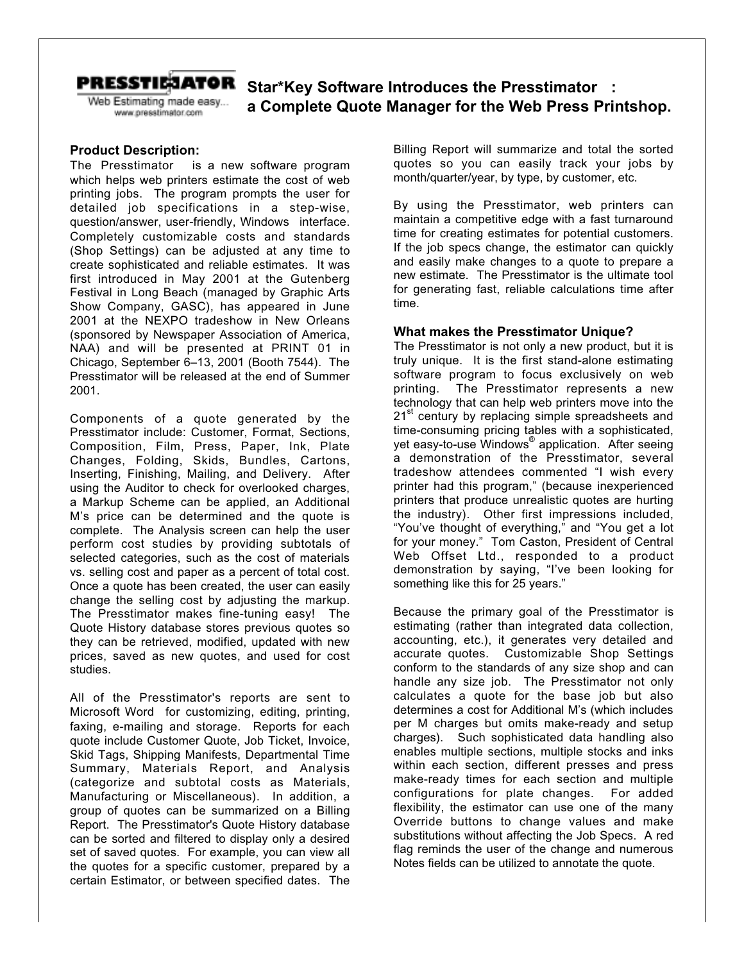

Web Estimating made easy... www.presstimator.com

# **PRESSTIE:JATOR** Star\*Key Software Introduces the Presstimator<sup>TM</sup>: **a Complete Quote Manager for the Web Press Printshop.**

## **Product Description:**

The Presstimator<sup>™</sup> is a new software program which helps web printers estimate the cost of web printing jobs. The program prompts the user for detailed job specifications in a step-wise, question/answer, user-friendly, Windows<sup>®</sup> interface. Completely customizable costs and standards (Shop Settings) can be adjusted at any time to create sophisticated and reliable estimates. It was first introduced in May 2001 at the Gutenberg Festival in Long Beach (managed by Graphic Arts Show Company, GASC), has appeared in June 2001 at the NEXPO tradeshow in New Orleans (sponsored by Newspaper Association of America, NAA) and will be presented at PRINT 01 in Chicago, September 6–13, 2001 (Booth 7544). The Presstimator will be released at the end of Summer 2001.

Components of a quote generated by the Presstimator include: Customer, Format, Sections, Composition, Film, Press, Paper, Ink, Plate Changes, Folding, Skids, Bundles, Cartons, Inserting, Finishing, Mailing, and Delivery. After using the Auditor to check for overlooked charges, a Markup Scheme can be applied, an Additional M's price can be determined and the quote is complete. The Analysis screen can help the user perform cost studies by providing subtotals of selected categories, such as the cost of materials vs. selling cost and paper as a percent of total cost. Once a quote has been created, the user can easily change the selling cost by adjusting the markup. The Presstimator makes fine-tuning easy! The Quote History database stores previous quotes so they can be retrieved, modified, updated with new prices, saved as new quotes, and used for cost studies.

All of the Presstimator's reports are sent to Microsoft Word<sup>®</sup> for customizing, editing, printing, faxing, e-mailing and storage. Reports for each quote include Customer Quote, Job Ticket, Invoice, Skid Tags, Shipping Manifests, Departmental Time Summary, Materials Report, and Analysis (categorize and subtotal costs as Materials, Manufacturing or Miscellaneous). In addition, a group of quotes can be summarized on a Billing Report. The Presstimator's Quote History database can be sorted and filtered to display only a desired set of saved quotes. For example, you can view all the quotes for a specific customer, prepared by a certain Estimator, or between specified dates. The

Billing Report will summarize and total the sorted quotes so you can easily track your jobs by month/quarter/year, by type, by customer, etc.

By using the Presstimator, web printers can maintain a competitive edge with a fast turnaround time for creating estimates for potential customers. If the job specs change, the estimator can quickly and easily make changes to a quote to prepare a new estimate. The Presstimator is the ultimate tool for generating fast, reliable calculations time after time.

### **What makes the Presstimator Unique?**

The Presstimator is not only a new product, but it is truly unique. It is the first stand-alone estimating software program to focus exclusively on web printing. The Presstimator represents a new technology that can help web printers move into the 21<sup>st</sup> century by replacing simple spreadsheets and time-consuming pricing tables with a sophisticated, yet easy-to-use Windows<sup>®</sup> application. After seeing a demonstration of the Presstimator, several tradeshow attendees commented "I wish every printer had this program," (because inexperienced printers that produce unrealistic quotes are hurting the industry). Other first impressions included, "You've thought of everything," and "You get a lot for your money." Tom Caston, President of Central Web Offset Ltd., responded to a product demonstration by saying, "I've been looking for something like this for 25 years."

Because the primary goal of the Presstimator is estimating (rather than integrated data collection, accounting, etc.), it generates very detailed and accurate quotes. Customizable Shop Settings conform to the standards of any size shop and can handle any size job. The Presstimator not only calculates a quote for the base job but also determines a cost for Additional M's (which includes per M charges but omits make-ready and setup charges). Such sophisticated data handling also enables multiple sections, multiple stocks and inks within each section, different presses and press make-ready times for each section and multiple configurations for plate changes. For added flexibility, the estimator can use one of the many Override buttons to change values and make substitutions without affecting the Job Specs. A red flag reminds the user of the change and numerous Notes fields can be utilized to annotate the quote.